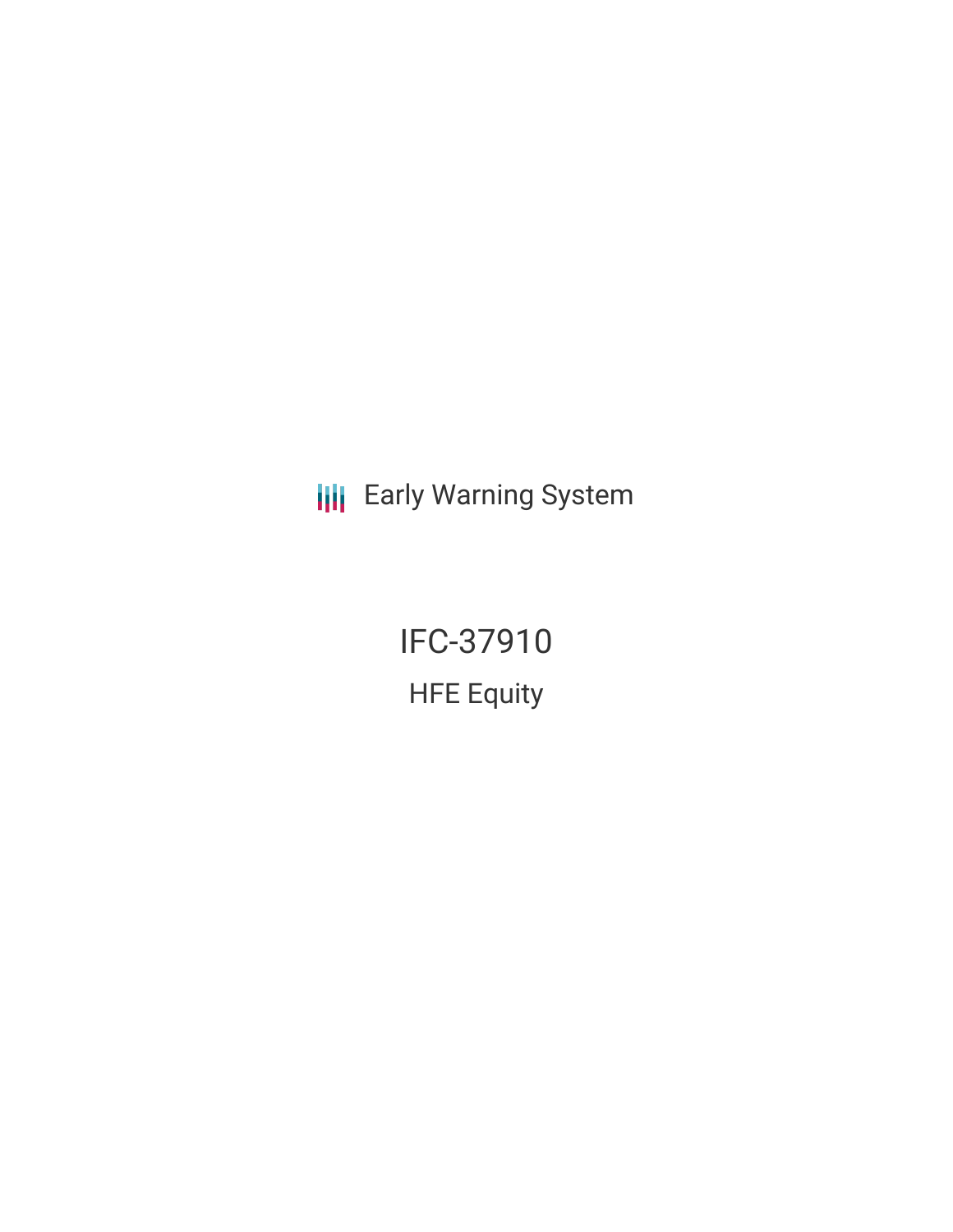**III** Early Warning System

IFC-37910 HFE Equity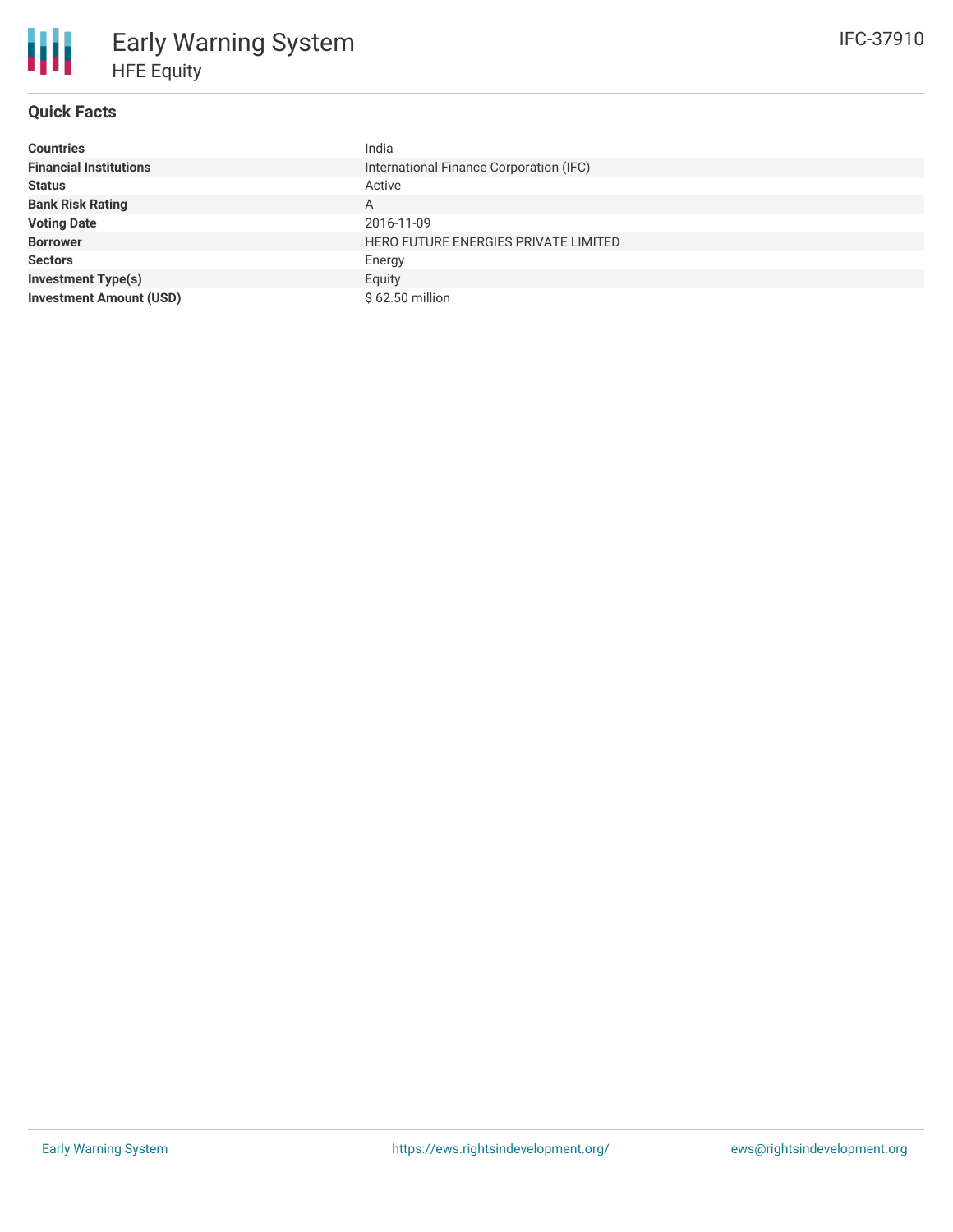## **Quick Facts**

冊

| <b>Countries</b>               | India                                   |
|--------------------------------|-----------------------------------------|
| <b>Financial Institutions</b>  | International Finance Corporation (IFC) |
| <b>Status</b>                  | Active                                  |
| <b>Bank Risk Rating</b>        | A                                       |
| <b>Voting Date</b>             | 2016-11-09                              |
| <b>Borrower</b>                | HERO FUTURE ENERGIES PRIVATE LIMITED    |
| <b>Sectors</b>                 | Energy                                  |
| <b>Investment Type(s)</b>      | Equity                                  |
| <b>Investment Amount (USD)</b> | \$62.50 million                         |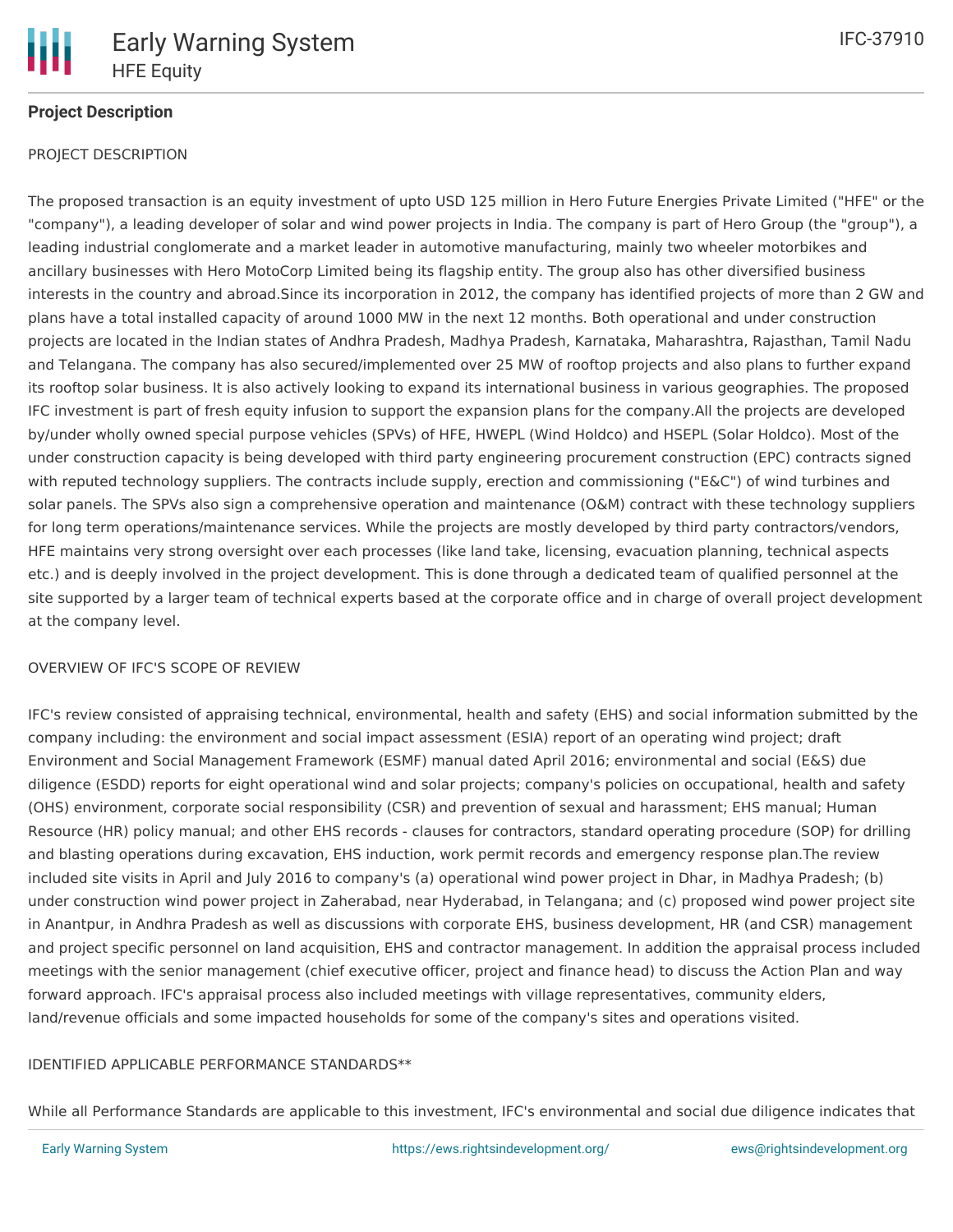

# **Project Description**

## PROJECT DESCRIPTION

The proposed transaction is an equity investment of upto USD 125 million in Hero Future Energies Private Limited ("HFE" or the "company"), a leading developer of solar and wind power projects in India. The company is part of Hero Group (the "group"), a leading industrial conglomerate and a market leader in automotive manufacturing, mainly two wheeler motorbikes and ancillary businesses with Hero MotoCorp Limited being its flagship entity. The group also has other diversified business interests in the country and abroad.Since its incorporation in 2012, the company has identified projects of more than 2 GW and plans have a total installed capacity of around 1000 MW in the next 12 months. Both operational and under construction projects are located in the Indian states of Andhra Pradesh, Madhya Pradesh, Karnataka, Maharashtra, Rajasthan, Tamil Nadu and Telangana. The company has also secured/implemented over 25 MW of rooftop projects and also plans to further expand its rooftop solar business. It is also actively looking to expand its international business in various geographies. The proposed IFC investment is part of fresh equity infusion to support the expansion plans for the company.All the projects are developed by/under wholly owned special purpose vehicles (SPVs) of HFE, HWEPL (Wind Holdco) and HSEPL (Solar Holdco). Most of the under construction capacity is being developed with third party engineering procurement construction (EPC) contracts signed with reputed technology suppliers. The contracts include supply, erection and commissioning ("E&C") of wind turbines and solar panels. The SPVs also sign a comprehensive operation and maintenance (O&M) contract with these technology suppliers for long term operations/maintenance services. While the projects are mostly developed by third party contractors/vendors, HFE maintains very strong oversight over each processes (like land take, licensing, evacuation planning, technical aspects etc.) and is deeply involved in the project development. This is done through a dedicated team of qualified personnel at the site supported by a larger team of technical experts based at the corporate office and in charge of overall project development at the company level.

### OVERVIEW OF IFC'S SCOPE OF REVIEW

IFC's review consisted of appraising technical, environmental, health and safety (EHS) and social information submitted by the company including: the environment and social impact assessment (ESIA) report of an operating wind project; draft Environment and Social Management Framework (ESMF) manual dated April 2016; environmental and social (E&S) due diligence (ESDD) reports for eight operational wind and solar projects; company's policies on occupational, health and safety (OHS) environment, corporate social responsibility (CSR) and prevention of sexual and harassment; EHS manual; Human Resource (HR) policy manual; and other EHS records - clauses for contractors, standard operating procedure (SOP) for drilling and blasting operations during excavation, EHS induction, work permit records and emergency response plan.The review included site visits in April and July 2016 to company's (a) operational wind power project in Dhar, in Madhya Pradesh; (b) under construction wind power project in Zaherabad, near Hyderabad, in Telangana; and (c) proposed wind power project site in Anantpur, in Andhra Pradesh as well as discussions with corporate EHS, business development, HR (and CSR) management and project specific personnel on land acquisition, EHS and contractor management. In addition the appraisal process included meetings with the senior management (chief executive officer, project and finance head) to discuss the Action Plan and way forward approach. IFC's appraisal process also included meetings with village representatives, community elders, land/revenue officials and some impacted households for some of the company's sites and operations visited.

#### IDENTIFIED APPLICABLE PERFORMANCE STANDARDS\*\*

While all Performance Standards are applicable to this investment, IFC's environmental and social due diligence indicates that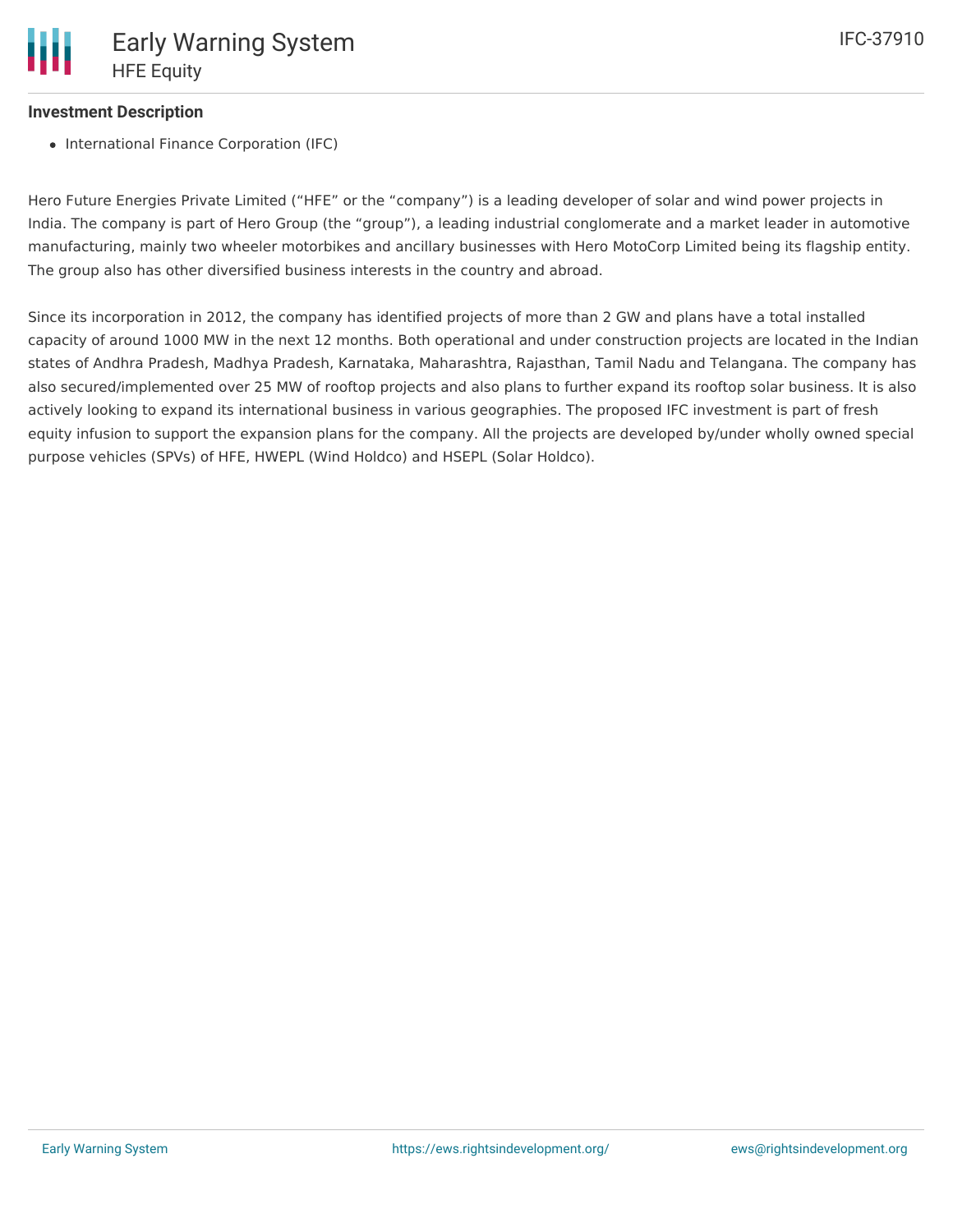# **Investment Description**

• International Finance Corporation (IFC)

Hero Future Energies Private Limited ("HFE" or the "company") is a leading developer of solar and wind power projects in India. The company is part of Hero Group (the "group"), a leading industrial conglomerate and a market leader in automotive manufacturing, mainly two wheeler motorbikes and ancillary businesses with Hero MotoCorp Limited being its flagship entity. The group also has other diversified business interests in the country and abroad.

Since its incorporation in 2012, the company has identified projects of more than 2 GW and plans have a total installed capacity of around 1000 MW in the next 12 months. Both operational and under construction projects are located in the Indian states of Andhra Pradesh, Madhya Pradesh, Karnataka, Maharashtra, Rajasthan, Tamil Nadu and Telangana. The company has also secured/implemented over 25 MW of rooftop projects and also plans to further expand its rooftop solar business. It is also actively looking to expand its international business in various geographies. The proposed IFC investment is part of fresh equity infusion to support the expansion plans for the company. All the projects are developed by/under wholly owned special purpose vehicles (SPVs) of HFE, HWEPL (Wind Holdco) and HSEPL (Solar Holdco).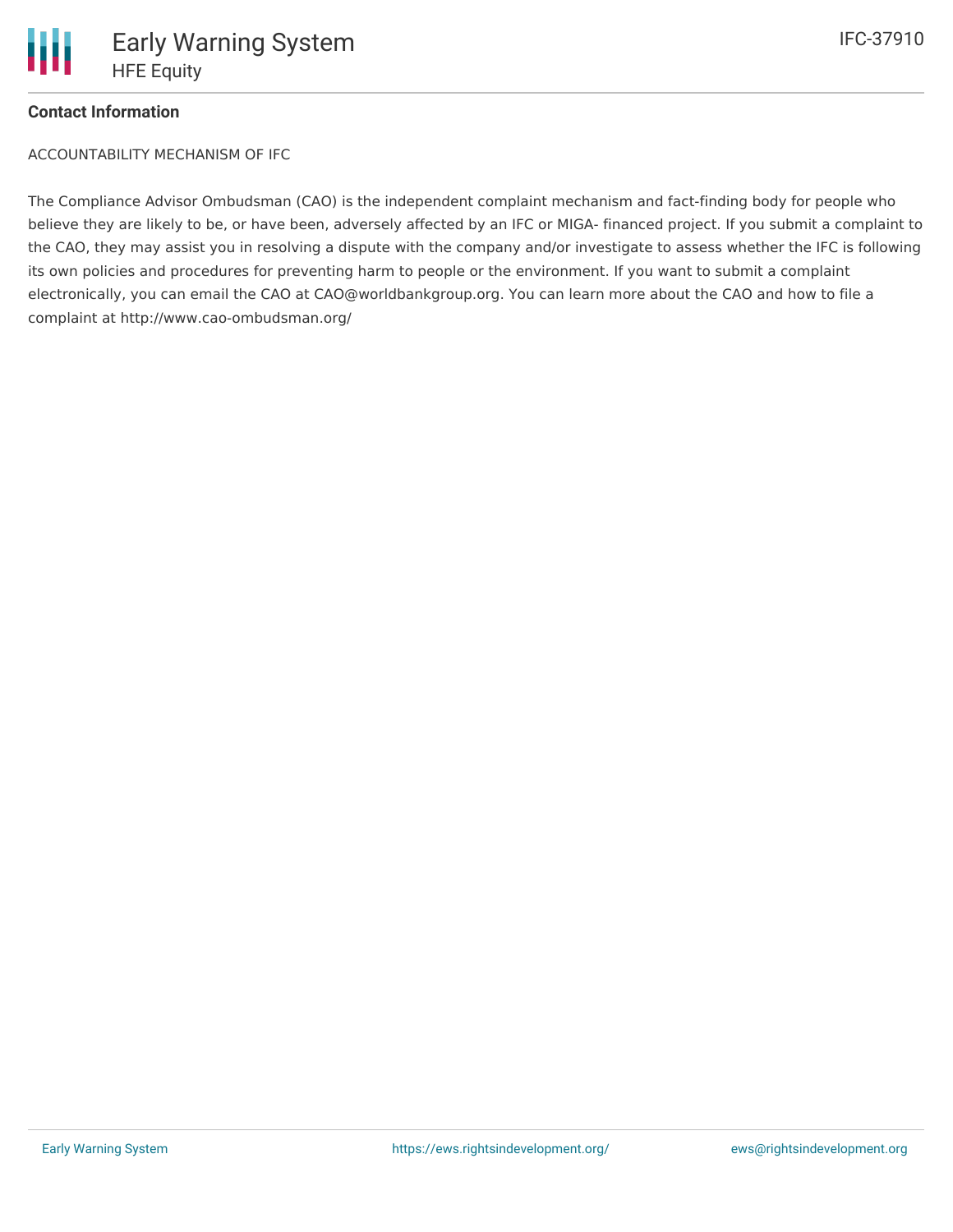## **Contact Information**

ACCOUNTABILITY MECHANISM OF IFC

The Compliance Advisor Ombudsman (CAO) is the independent complaint mechanism and fact-finding body for people who believe they are likely to be, or have been, adversely affected by an IFC or MIGA- financed project. If you submit a complaint to the CAO, they may assist you in resolving a dispute with the company and/or investigate to assess whether the IFC is following its own policies and procedures for preventing harm to people or the environment. If you want to submit a complaint electronically, you can email the CAO at CAO@worldbankgroup.org. You can learn more about the CAO and how to file a complaint at http://www.cao-ombudsman.org/